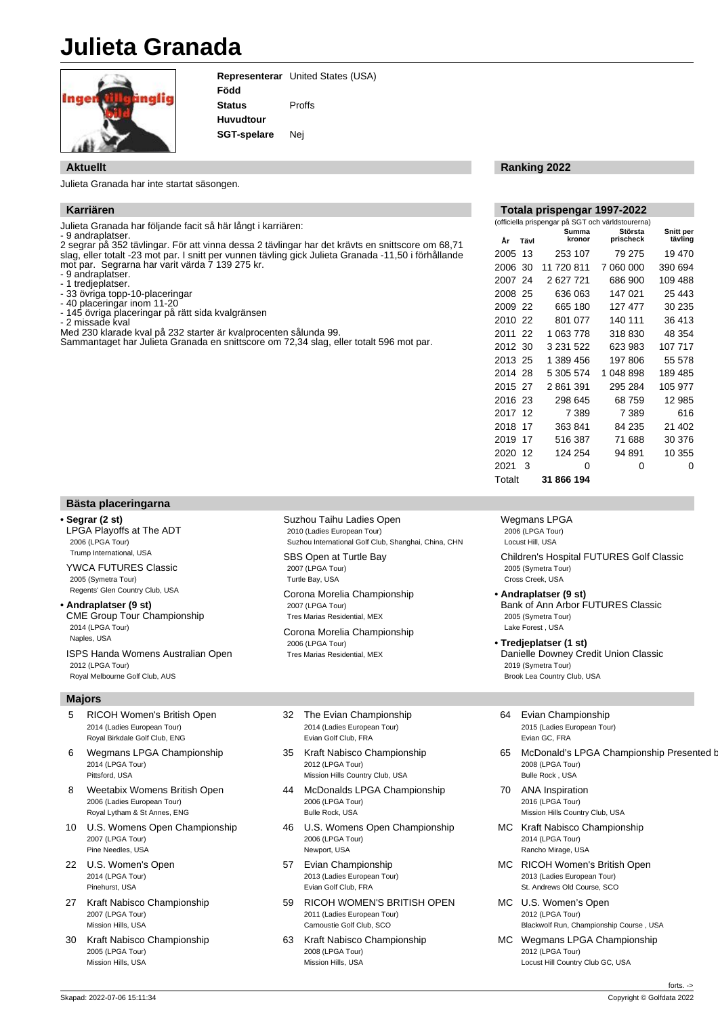## **Julieta Granada**



**Representerar** United States (USA) **Född Status Huvudtour SGT-spelare** Proffs Nej

## **Aktuellt**

Julieta Granada har inte startat säsongen.

## **Karriären**

Julieta Granada har följande facit så här långt i karriären:

- 9 andraplatser.

2 segrar på 352 tävlingar. För att vinna dessa 2 tävlingar har det krävts en snittscore om 68,71 slag, eller totalt -23 mot par. I snitt per vunnen tävling gick Julieta Granada -11,50 i förhållande mot par. Segrarna har varit värda 7 139 275 kr.

- 9 andraplatser.

- 1 tredjeplatser.

- 33 övriga topp-10-placeringar
- 40 placeringar inom 11-20
- 145 övriga placeringar på rätt sida kvalgränsen - 2 missade kval

Med 230 klarade kval på 232 starter är kvalprocenten sålunda 99.

Sammantaget har Julieta Granada en snittscore om 72,34 slag, eller totalt 596 mot par.

## **Ranking 2022**

| Totala prispengar 1997-2022                       |      |                 |                      |                      |
|---------------------------------------------------|------|-----------------|----------------------|----------------------|
| (officiella prispengar på SGT och världstourerna) |      |                 |                      |                      |
| År                                                | Tävl | Summa<br>kronor | Största<br>prischeck | Snitt per<br>tävling |
| 2005                                              | 13   | 253 107         | 79 275               | 19 470               |
| 2006                                              | 30   | 11 720 811      | 7 060 000            | 390 694              |
| 2007                                              | 24   | 2 627 721       | 686 900              | 109 488              |
| 2008 25                                           |      | 636 063         | 147 021              | 25 443               |
| 2009 22                                           |      | 665 180         | 127 477              | 30 235               |
| 2010                                              | 22   | 801 077         | 140 111              | 36 413               |
| 2011                                              | 22   | 1 063 778       | 318 830              | 48 354               |
| 2012 30                                           |      | 3 231 522       | 623 983              | 107 717              |
| 2013 25                                           |      | 1 389 456       | 197806               | 55 578               |
| 2014 28                                           |      | 5 305 574       | 1 048 898            | 189 485              |
| 2015 27                                           |      | 2861391         | 295 284              | 105 977              |
| 2016 23                                           |      | 298 645         | 68 759               | 12 985               |
| 2017                                              | 12   | 7 389           | 7 389                | 616                  |
| 2018                                              | 17   | 363841          | 84 235               | 21 402               |
| 2019                                              | 17   | 516 387         | 71 688               | 30 376               |
| 2020                                              | 12   | 124 254         | 94 891               | 10 355               |
| 2021                                              | 3    | O               | 0                    | ი                    |
| Totalt                                            |      | 31 866 194      |                      |                      |

## **Bästa placeringarna**

## **• Segrar (2 st)**

LPGA Playoffs at The ADT 2006 (LPGA Tour) Trump International, USA YWCA FUTURES Classic 2005 (Symetra Tour)

Regents' Glen Country Club, USA **• Andraplatser (9 st)**

CME Group Tour Championship 2014 (LPGA Tour) Naples, USA ISPS Handa Womens Australian Open

2012 (LPGA Tour) Royal Melbourne Golf Club, AUS

#### **Majors**

- 5 RICOH Women's British Open 2014 (Ladies European Tour) Royal Birkdale Golf Club, ENG
- 6 Wegmans LPGA Championship 2014 (LPGA Tour) Pittsford, USA
- 8 Weetabix Womens British Open 2006 (Ladies European Tour) Royal Lytham & St Annes, ENG
- 10 U.S. Womens Open Championship 2007 (LPGA Tour) Pine Needles, USA
- 22 U.S. Women's Open 2014 (LPGA Tour) Pinehurst, USA
- 27 Kraft Nabisco Championship 2007 (LPGA Tour) Mission Hills, USA
- 30 Kraft Nabisco Championship 2005 (LPGA Tour) Mission Hills, USA

Suzhou Taihu Ladies Open 2010 (Ladies European Tour) Suzhou International Golf Club, Shanghai, China, CHN

SBS Open at Turtle Bay 2007 (LPGA Tour) Turtle Bay, USA

Corona Morelia Championship 2007 (LPGA Tour) Tres Marias Residential, MEX

Corona Morelia Championship 2006 (LPGA Tour) Tres Marias Residential, MEX

- 32 The Evian Championship 2014 (Ladies European Tour) Evian Golf Club, FRA
- 35 Kraft Nabisco Championship 2012 (LPGA Tour) Mission Hills Country Club, USA
- 44 McDonalds LPGA Championship 2006 (LPGA Tour) Bulle Rock, USA
- 46 U.S. Womens Open Championship 2006 (LPGA Tour) Newport, USA
- 57 Evian Championship 2013 (Ladies European Tour) Evian Golf Club, FRA
- 59 RICOH WOMEN'S BRITISH OPEN 2011 (Ladies European Tour) Carnoustie Golf Club, SCO
- 63 Kraft Nabisco Championship 2008 (LPGA Tour) Mission Hills, USA

Wegmans LPGA 2006 (LPGA Tour) Locust Hill, USA

Children's Hospital FUTURES Golf Classic 2005 (Symetra Tour) Cross Creek, USA

- **Andraplatser (9 st)** Bank of Ann Arbor FUTURES Classic 2005 (Symetra Tour) Lake Forest , USA
- **Tredjeplatser (1 st)** Danielle Downey Credit Union Classic 2019 (Symetra Tour) Brook Lea Country Club, USA
- 64 Evian Championship 2015 (Ladies European Tour) Evian GC, FRA
- 65 McDonald's LPGA Championship Presented b 2008 (LPGA Tour) Bulle Rock , USA
- 70 ANA Inspiration 2016 (LPGA Tour) Mission Hills Country Club, USA
- MC Kraft Nabisco Championship 2014 (LPGA Tour) Rancho Mirage, USA
- MC RICOH Women's British Open 2013 (Ladies European Tour) St. Andrews Old Course, SCO
- MC U.S. Women's Open 2012 (LPGA Tour) Blackwolf Run, Championship Course , USA
- MC Wegmans LPGA Championship 2012 (LPGA Tour) Locust Hill Country Club GC, USA

forts. ->